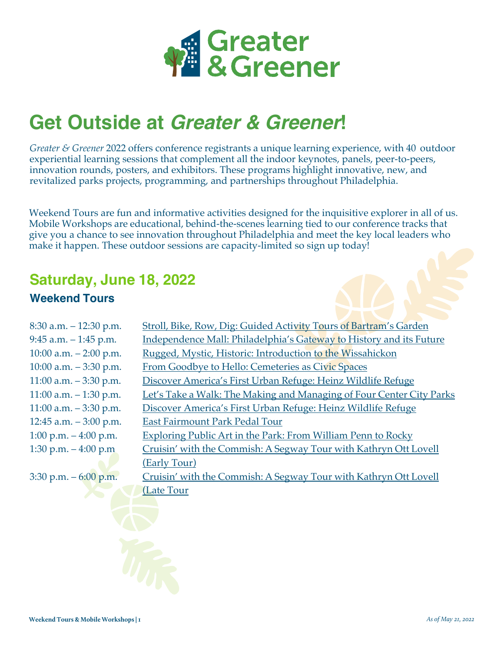

# **Get Outside at** *Greater & Greener***!**

*Greater & Greener* 2022 offers conference registrants a unique learning experience, with 40 outdoor experiential learning sessions that complement all the indoor keynotes, panels, peer-to-peers, innovation rounds, posters, and exhibitors. These programs highlight innovative, new, and revitalized parks projects, programming, and partnerships throughout Philadelphia.

Weekend Tours are fun and informative activities designed for the inquisitive explorer in all of us. Mobile Workshops are educational, behind-the-scenes learning tied to our conference tracks that give you a chance to see innovation throughout Philadelphia and meet the key local leaders who make it happen. These outdoor sessions are capacity-limited so sign up today!

## **Saturday, June 18, 2022**

#### **Weekend Tours**

| $8:30$ a.m. $-12:30$ p.m. | Stroll, Bike, Row, Dig: Guided Activity Tours of Bartram's Garden    |
|---------------------------|----------------------------------------------------------------------|
| $9:45$ a.m. $-1:45$ p.m.  | Independence Mall: Philadelphia's Gateway to History and its Future  |
| 10:00 a.m. $-2:00$ p.m.   | Rugged, Mystic, Historic: Introduction to the Wissahickon            |
| 10:00 a.m. $-3:30$ p.m.   | From Goodbye to Hello: Cemeteries as Civic Spaces                    |
| 11:00 a.m. $-3:30$ p.m.   | Discover America's First Urban Refuge: Heinz Wildlife Refuge         |
| 11:00 a.m. $-1:30$ p.m.   | Let's Take a Walk: The Making and Managing of Four Center City Parks |
| $11:00$ a.m. $-3:30$ p.m. | Discover America's First Urban Refuge: Heinz Wildlife Refuge         |
| 12:45 a.m. $-3:00$ p.m.   | East Fairmount Park Pedal Tour                                       |
| 1:00 p.m. $-4:00$ p.m.    | Exploring Public Art in the Park: From William Penn to Rocky         |
| 1:30 p.m. $-4:00$ p.m.    | Cruisin' with the Commish: A Segway Tour with Kathryn Ott Lovell     |
|                           | (Early Tour)                                                         |
| $3:30$ p.m. $-6:00$ p.m.  | Cruisin' with the Commish: A Segway Tour with Kathryn Ott Lovell     |
|                           | (Late Tour                                                           |
|                           |                                                                      |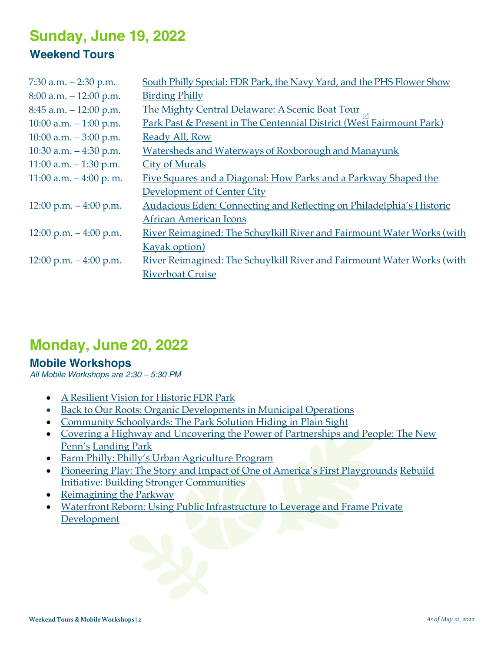## **Sunday, June 19, 2022 Weekend Tours**

| 7:30 a.m. $-2:30$ p.m.    | South Philly Special: FDR Park, the Navy Yard, and the PHS Flower Show |
|---------------------------|------------------------------------------------------------------------|
| $8:00$ a.m. $-12:00$ p.m. | <b>Birding Philly</b>                                                  |
| $8:45$ a.m. $-12:00$ p.m. | The Mighty Central Delaware: A Scenic Boat Tour                        |
| 10:00 a.m. $-1:00$ p.m.   | Park Past & Present in The Centennial District (West Fairmount Park)   |
| 10:00 a.m. $-3:00$ p.m.   | Ready All, Row                                                         |
| 10:30 a.m. $-4:30$ p.m.   | Watersheds and Waterways of Roxborough and Manayunk                    |
| $11:00$ a.m. $-1:30$ p.m. | <b>City of Murals</b>                                                  |
| 11:00 a.m. $-4:00$ p.m.   | Five Squares and a Diagonal: How Parks and a Parkway Shaped the        |
|                           | Development of Center City                                             |
| 12:00 p.m. $-4:00$ p.m.   | Audacious Eden: Connecting and Reflecting on Philadelphia's Historic   |
|                           | <b>African American Icons</b>                                          |
| 12:00 p.m. $-4:00$ p.m.   | River Reimagined: The Schuylkill River and Fairmount Water Works (with |
|                           | <b>Kayak option</b> )                                                  |
| 12:00 p.m. $-4:00$ p.m.   | River Reimagined: The Schuylkill River and Fairmount Water Works (with |
|                           | <b>Riverboat Cruise</b>                                                |

### **Monday, June 20, 2022**

#### **Mobile Workshops**

*All Mobile Workshops are 2:30 – 5:30 PM*

- A Resilient Vision for Historic FDR Park
- Back to Our Roots: Organic Developments in Municipal Operations
- Community Schoolyards: The Park Solution Hiding in Plain Sight
- Covering a Highway and Uncovering the Power of Partnerships and People: The New Penn's Landing Park
- Farm Philly: Philly's Urban Agriculture Program
- Pioneering Play: The Story and Impact of One of America's First Playgrounds Rebuild Initiative: Building Stronger Communities
- Reimagining the Parkway
- Waterfront Reborn: Using Public Infrastructure to Leverage and Frame Private **Development**